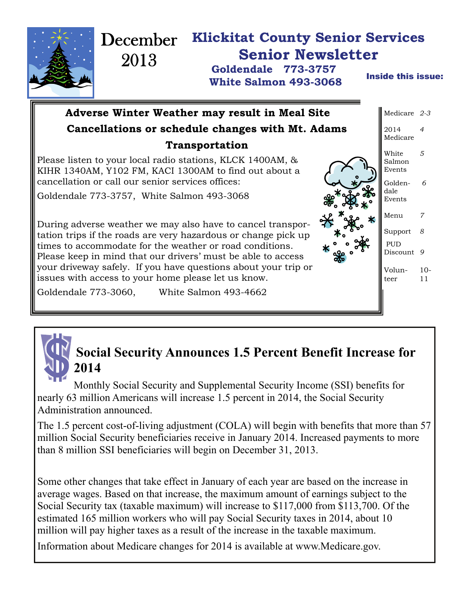

## **Social Security Announces 1.5 Percent Benefit Increase for 2014**

Monthly Social Security and Supplemental Security Income (SSI) benefits for nearly 63 million Americans will increase 1.5 percent in 2014, the Social Security Administration announced.

The 1.5 percent cost-of-living adjustment (COLA) will begin with benefits that more than 57 million Social Security beneficiaries receive in January 2014. Increased payments to more than 8 million SSI beneficiaries will begin on December 31, 2013.

Some other changes that take effect in January of each year are based on the increase in average wages. Based on that increase, the maximum amount of earnings subject to the Social Security tax (taxable maximum) will increase to \$117,000 from \$113,700. Of the estimated 165 million workers who will pay Social Security taxes in 2014, about 10 million will pay higher taxes as a result of the increase in the taxable maximum.

Information about Medicare changes for 2014 is available at www.Medicare.gov.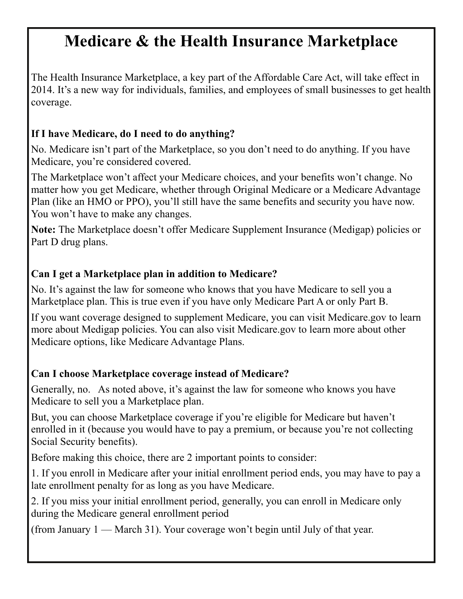# **Medicare & the Health Insurance Marketplace**

The Health Insurance Marketplace, a key part of the Affordable Care Act, will take effect in 2014. It's a new way for individuals, families, and employees of small businesses to get health coverage.

#### **If I have Medicare, do I need to do anything?**

No. Medicare isn't part of the Marketplace, so you don't need to do anything. If you have Medicare, you're considered covered.

The Marketplace won't affect your Medicare choices, and your benefits won't change. No matter how you get Medicare, whether through Original Medicare or a Medicare Advantage Plan (like an HMO or PPO), you'll still have the same benefits and security you have now. You won't have to make any changes.

**Note:** The Marketplace doesn't offer Medicare Supplement Insurance (Medigap) policies or Part D drug plans.

#### **Can I get a Marketplace plan in addition to Medicare?**

No. It's against the law for someone who knows that you have Medicare to sell you a Marketplace plan. This is true even if you have only Medicare Part A or only Part B.

If you want coverage designed to supplement Medicare, you can visit Medicare.gov to learn more about Medigap policies. You can also visit Medicare.gov to learn more about other Medicare options, like Medicare Advantage Plans.

#### **Can I choose Marketplace coverage instead of Medicare?**

Generally, no. As noted above, it's against the law for someone who knows you have Medicare to sell you a Marketplace plan.

But, you can choose Marketplace coverage if you're eligible for Medicare but haven't enrolled in it (because you would have to pay a premium, or because you're not collecting Social Security benefits).

Before making this choice, there are 2 important points to consider:

1. If you enroll in Medicare after your initial enrollment period ends, you may have to pay a late enrollment penalty for as long as you have Medicare.

2. If you miss your initial enrollment period, generally, you can enroll in Medicare only during the Medicare general enrollment period

(from January 1 — March 31). Your coverage won't begin until July of that year.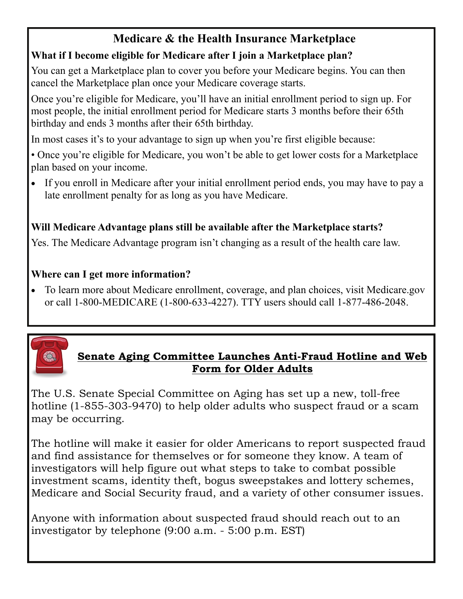### **Medicare & the Health Insurance Marketplace**

#### **What if I become eligible for Medicare after I join a Marketplace plan?**

You can get a Marketplace plan to cover you before your Medicare begins. You can then cancel the Marketplace plan once your Medicare coverage starts.

Once you're eligible for Medicare, you'll have an initial enrollment period to sign up. For most people, the initial enrollment period for Medicare starts 3 months before their 65th birthday and ends 3 months after their 65th birthday.

In most cases it's to your advantage to sign up when you're first eligible because:

• Once you're eligible for Medicare, you won't be able to get lower costs for a Marketplace plan based on your income.

• If you enroll in Medicare after your initial enrollment period ends, you may have to pay a late enrollment penalty for as long as you have Medicare.

#### **Will Medicare Advantage plans still be available after the Marketplace starts?**

Yes. The Medicare Advantage program isn't changing as a result of the health care law.

#### **Where can I get more information?**

• To learn more about Medicare enrollment, coverage, and plan choices, visit Medicare.gov or call 1-800-MEDICARE (1-800-633-4227). TTY users should call 1-877-486-2048.



#### **Senate Aging Committee Launches Anti-Fraud Hotline and Web Form for Older Adults**

The U.S. Senate Special Committee on Aging has set up a new, toll-free hotline (1-855-303-9470) to help older adults who suspect fraud or a scam may be occurring.

The hotline will make it easier for older Americans to report suspected fraud and find assistance for themselves or for someone they know. A team of investigators will help figure out what steps to take to combat possible investment scams, identity theft, bogus sweepstakes and lottery schemes, Medicare and Social Security fraud, and a variety of other consumer issues.

Anyone with information about suspected fraud should reach out to an investigator by telephone (9:00 a.m. - 5:00 p.m. EST)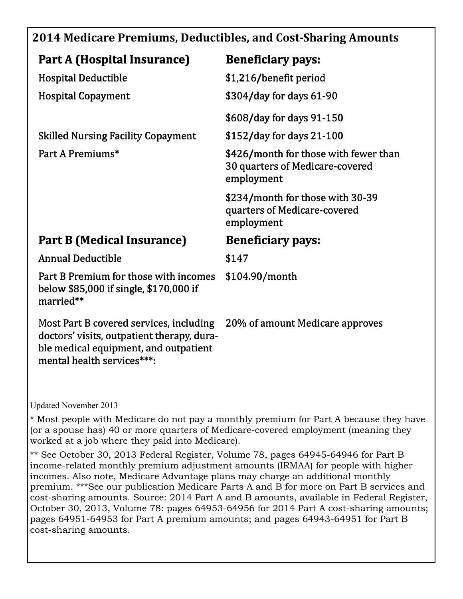### **2014 Medicare Premiums, Deductibles, and CostSharing Amounts**

| Part A (Hospital Insurance)                                                                                                                                  | <b>Beneficiary pays:</b>                                                               |
|--------------------------------------------------------------------------------------------------------------------------------------------------------------|----------------------------------------------------------------------------------------|
| <b>Hospital Deductible</b>                                                                                                                                   | \$1,216/benefit period                                                                 |
| <b>Hospital Copayment</b>                                                                                                                                    | \$304/day for days 61-90                                                               |
|                                                                                                                                                              | \$608/day for days 91-150                                                              |
| <b>Skilled Nursing Facility Copayment</b>                                                                                                                    | \$152/day for days 21-100                                                              |
| Part A Premiums*                                                                                                                                             | \$426/month for those with fewer than<br>30 quarters of Medicare-covered<br>employment |
|                                                                                                                                                              | \$234/month for those with 30-39<br>quarters of Medicare-covered<br>employment         |
| Part B (Medical Insurance)                                                                                                                                   | <b>Beneficiary pays:</b>                                                               |
| <b>Annual Deductible</b>                                                                                                                                     | \$147                                                                                  |
| Part B Premium for those with incomes<br>below \$85,000 if single, \$170,000 if<br>married**                                                                 | \$104.90/month                                                                         |
| Most Part B covered services, including<br>doctors' visits, outpatient therapy, dura-<br>ble medical equipment, and outpatient<br>mental health services***: | 20% of amount Medicare approves                                                        |

Updated November 2013

\* Most people with Medicare do not pay a monthly premium for Part A because they have (or a spouse has) 40 or more quarters of Medicare-covered employment (meaning they worked at a job where they paid into Medicare).

\*\* See October 30, 2013 Federal Register, Volume 78, pages 64945-64946 for Part B income-related monthly premium adjustment amounts (IRMAA) for people with higher incomes. Also note, Medicare Advantage plans may charge an additional monthly premium. \*\*\*See our publication Medicare Parts A and B for more on Part B services and cost-sharing amounts. Source: 2014 Part A and B amounts, available in Federal Register, October 30, 2013, Volume 78: pages 64953-64956 for 2014 Part A cost-sharing amounts; pages 64951-64953 for Part A premium amounts; and pages 64943-64951 for Part B cost-sharing amounts.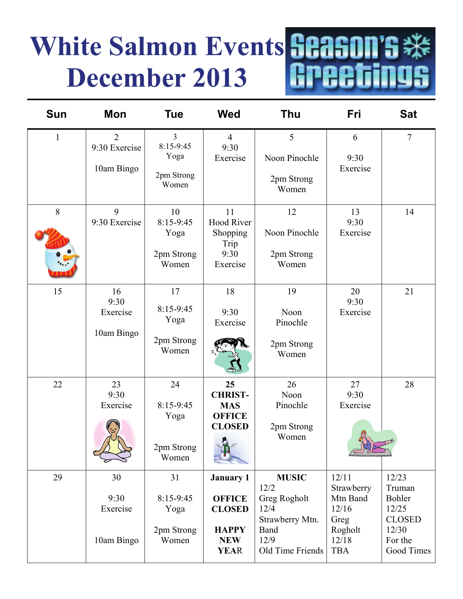# **White Salmon Events Season's \*\***<br>December 2013 **Repeatings** A **December 2013**

| Sun          | Mon                                           | <b>Tue</b>                                                 | <b>Wed</b>                                                                                      | <b>Thu</b>                                                                                          | Fri                                                                                | <b>Sat</b>                                                                            |
|--------------|-----------------------------------------------|------------------------------------------------------------|-------------------------------------------------------------------------------------------------|-----------------------------------------------------------------------------------------------------|------------------------------------------------------------------------------------|---------------------------------------------------------------------------------------|
| $\mathbf{1}$ | $\overline{2}$<br>9:30 Exercise<br>10am Bingo | $\overline{3}$<br>8:15-9:45<br>Yoga<br>2pm Strong<br>Women | $\overline{4}$<br>9:30<br>Exercise                                                              | 5<br>Noon Pinochle<br>2pm Strong<br>Women                                                           | 6<br>9:30<br>Exercise                                                              | $\tau$                                                                                |
| 8            | 9<br>9:30 Exercise                            | 10<br>8:15-9:45<br>Yoga<br>2pm Strong<br>Women             | 11<br><b>Hood River</b><br>Shopping<br>Trip<br>9:30<br>Exercise                                 | 12<br>Noon Pinochle<br>2pm Strong<br>Women                                                          | 13<br>9:30<br>Exercise                                                             | 14                                                                                    |
| 15           | 16<br>9:30<br>Exercise<br>10am Bingo          | 17<br>8:15-9:45<br>Yoga<br>2pm Strong<br>Women             | 18<br>9:30<br>Exercise                                                                          | 19<br>Noon<br>Pinochle<br>2pm Strong<br>Women                                                       | 20<br>9:30<br>Exercise                                                             | 21                                                                                    |
| 22           | 23<br>9:30<br>Exercise                        | 24<br>8:15-9:45<br>Yoga<br>2pm Strong<br>Women             | 25<br><b>CHRIST-</b><br><b>MAS</b><br><b>OFFICE</b><br><b>CLOSED</b><br>R V                     | 26<br>Noon<br>Pinochle<br>2pm Strong<br>Women                                                       | 27<br>9:30<br>Exercise                                                             | 28                                                                                    |
| 29           | 30<br>9:30<br>Exercise<br>10am Bingo          | 31<br>$8:15-9:45$<br>Yoga<br>2pm Strong<br>Women           | <b>January 1</b><br><b>OFFICE</b><br><b>CLOSED</b><br><b>HAPPY</b><br><b>NEW</b><br><b>YEAR</b> | <b>MUSIC</b><br>12/2<br>Greg Rogholt<br>12/4<br>Strawberry Mtn.<br>Band<br>12/9<br>Old Time Friends | 12/11<br>Strawberry<br>Mtn Band<br>12/16<br>Greg<br>Rogholt<br>12/18<br><b>TBA</b> | 12/23<br>Truman<br>Bohler<br>12/25<br><b>CLOSED</b><br>12/30<br>For the<br>Good Times |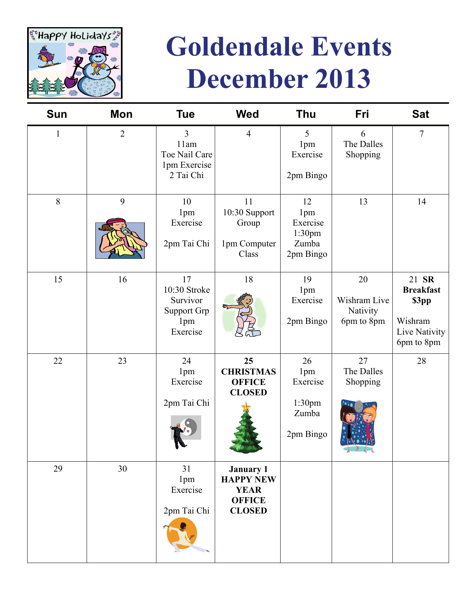

# **Goldendale Events December 2013**

| <b>Sun</b>   | Mon            | <b>Tue</b>                                                           | <b>Wed</b>                                                                            | <b>Thu</b>                                            | Fri                                          | <b>Sat</b>                                                                   |
|--------------|----------------|----------------------------------------------------------------------|---------------------------------------------------------------------------------------|-------------------------------------------------------|----------------------------------------------|------------------------------------------------------------------------------|
| $\mathbf{1}$ | $\overline{2}$ | $\overline{3}$<br>11am<br>Toe Nail Care<br>1pm Exercise<br>2 Tai Chi | $\overline{4}$                                                                        | 5<br>1pm<br>Exercise<br>2pm Bingo                     | 6<br>The Dalles<br>Shopping                  | $\overline{7}$                                                               |
| 8            | 9              | 10<br>1pm<br>Exercise<br>2pm Tai Chi                                 | 11<br>10:30 Support<br>Group<br>1pm Computer<br>Class                                 | 12<br>1pm<br>Exercise<br>1:30pm<br>Zumba<br>2pm Bingo | 13                                           | 14                                                                           |
| 15           | 16             | 17<br>10:30 Stroke<br>Survivor<br>Support Grp<br>1pm<br>Exercise     | 18                                                                                    | 19<br>1pm<br>Exercise<br>2pm Bingo                    | 20<br>Wishram Live<br>Nativity<br>6pm to 8pm | 21 SR<br><b>Breakfast</b><br>\$3pp<br>Wishram<br>Live Nativity<br>6pm to 8pm |
| 22           | 23             | 24<br>1pm<br>Exercise<br>2pm Tai Chi                                 | 25<br><b>CHRISTMAS</b><br><b>OFFICE</b><br><b>CLOSED</b>                              | 26<br>1pm<br>Exercise<br>1:30pm<br>Zumba<br>2pm Bingo | 27<br>The Dalles<br>Shopping                 | 28                                                                           |
| 29           | 30             | 31<br>1pm<br>Exercise<br>2pm Tai Chi                                 | <b>January 1</b><br><b>HAPPY NEW</b><br><b>YEAR</b><br><b>OFFICE</b><br><b>CLOSED</b> |                                                       |                                              |                                                                              |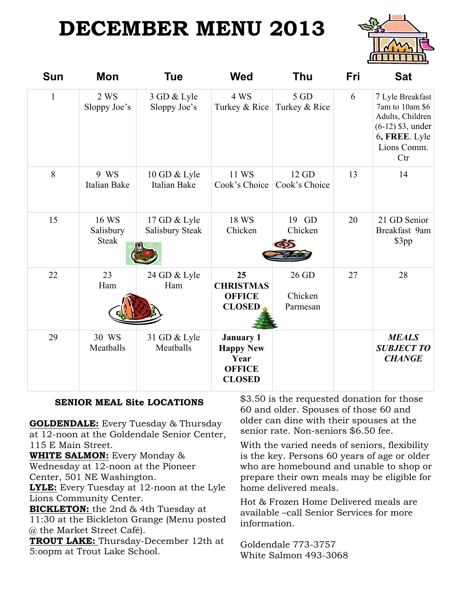# **DECEMBER MENU 2013**



| <b>Sun</b>   | Mon                                | Tue                             | <b>Wed</b>                                                                     | Thu                          | Fri | <b>Sat</b>                                                                                                            |
|--------------|------------------------------------|---------------------------------|--------------------------------------------------------------------------------|------------------------------|-----|-----------------------------------------------------------------------------------------------------------------------|
| $\mathbf{1}$ | 2 WS<br>Sloppy Joe's               | 3 GD & Lyle<br>Sloppy Joe's     | 4 WS<br>Turkey & Rice                                                          | 5 GD<br>Turkey & Rice        | 6   | 7 Lyle Breakfast<br>7am to 10am \$6<br>Adults, Children<br>$(6-12)$ \$3, under<br>6, FREE. Lyle<br>Lions Comm.<br>Ctr |
| 8            | 9 WS<br>Italian Bake               | 10 GD & Lyle<br>Italian Bake    | 11 WS<br>Cook's Choice                                                         | 12 GD<br>Cook's Choice       | 13  | 14                                                                                                                    |
| 15           | 16 WS<br>Salisbury<br><b>Steak</b> | 17 GD & Lyle<br>Salisbury Steak | 18 WS<br>Chicken                                                               | 19 GD<br>Chicken             | 20  | 21 GD Senior<br>Breakfast 9am<br>\$3pp                                                                                |
| 22           | 23<br>Ham                          | 24 GD & Lyle<br>Ham             | 25<br><b>CHRISTMAS</b><br><b>OFFICE</b><br><b>CLOSED</b>                       | 26 GD<br>Chicken<br>Parmesan | 27  | 28                                                                                                                    |
| 29           | 30 WS<br>Meatballs                 | 31 GD & Lyle<br>Meatballs       | <b>January 1</b><br><b>Happy New</b><br>Year<br><b>OFFICE</b><br><b>CLOSED</b> |                              |     | <b>MEALS</b><br><b>SUBJECT TO</b><br><b>CHANGE</b>                                                                    |

#### **SENIOR MEAL Site LOCATIONS**

**GOLDENDALE:** Every Tuesday & Thursday at 12-noon at the Goldendale Senior Center, 115 E Main Street.

**WHITE SALMON:** Every Monday & Wednesday at 12-noon at the Pioneer Center, 501 NE Washington.

**LYLE:** Every Tuesday at 12-noon at the Lyle Lions Community Center.

**BICKLETON:** the 2nd & 4th Tuesday at

11:30 at the Bickleton Grange (Menu posted @ the Market Street Café).

**TROUT LAKE:** Thursday-December 12th at 5:oopm at Trout Lake School.

\$3.50 is the requested donation for those 60 and older. Spouses of those 60 and older can dine with their spouses at the senior rate. Non-seniors \$6.50 fee.

With the varied needs of seniors, flexibility is the key. Persons 60 years of age or older who are homebound and unable to shop or prepare their own meals may be eligible for home delivered meals.

Hot & Frozen Home Delivered meals are available –call Senior Services for more information.

Goldendale 773-3757 White Salmon 493-3068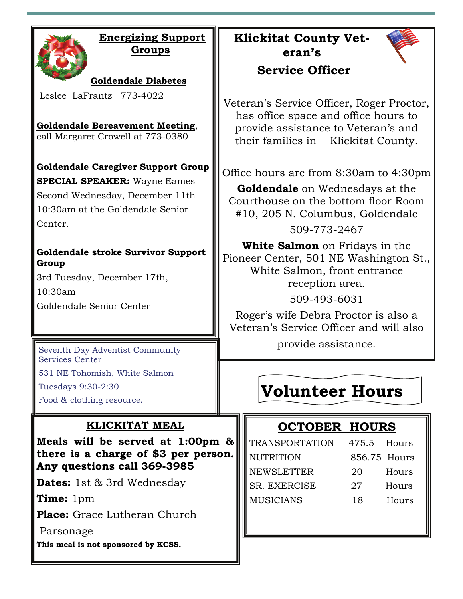|--|

#### **Energizing Support Groups**

**Goldendale Diabetes** 

Leslee LaFrantz 773-4022

**Goldendale Bereavement Meeting**, call Margaret Crowell at 773-0380

**Goldendale Caregiver Support Group** 

**SPECIAL SPEAKER:** Wayne Eames Second Wednesday, December 11th 10:30am at the Goldendale Senior Center.

#### **Goldendale stroke Survivor Support Group**

3rd Tuesday, December 17th, 10:30am Goldendale Senior Center

Seventh Day Adventist Community Services Center

531 NE Tohomish, White Salmon

Tuesdays 9:30-2:30

Food & clothing resource.

#### **KLICKITAT MEAL**

**Meals will be served at 1:00pm & there is a charge of \$3 per person. Any questions call 369-3985** 

**Dates:** 1st & 3rd Wednesday

**Time:** 1pm

**Place:** Grace Lutheran Church

Parsonage

**This meal is not sponsored by KCSS.** 

**Klickitat County Veteran's** 



#### **Service Officer**

Veteran's Service Officer, Roger Proctor, has office space and office hours to provide assistance to Veteran's and their families in Klickitat County.

Office hours are from 8:30am to 4:30pm

**Goldendale** on Wednesdays at the Courthouse on the bottom floor Room #10, 205 N. Columbus, Goldendale

509-773-2467

**White Salmon** on Fridays in the Pioneer Center, 501 NE Washington St., White Salmon, front entrance reception area.

509-493-6031

Roger's wife Debra Proctor is also a Veteran's Service Officer and will also

provide assistance.

# **Volunteer Hours**

### **OCTOBER HOURS**

| <b>TRANSPORTATION</b> | 475.5 Hours  |       |
|-----------------------|--------------|-------|
| <b>NUTRITION</b>      | 856.75 Hours |       |
| <b>NEWSLETTER</b>     | 20           | Hours |
| <b>SR. EXERCISE</b>   | 27           | Hours |
| <b>MUSICIANS</b>      | 18           | Hours |
|                       |              |       |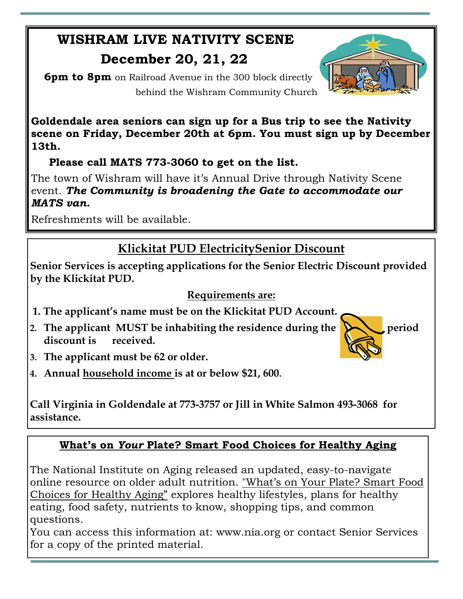# **WISHRAM LIVE NATIVITY SCENE**

### **December 20, 21, 22**

 **6pm to 8pm** on Railroad Avenue in the 300 block directly behind the Wishram Community Church

**Goldendale area seniors can sign up for a Bus trip to see the Nativity scene on Friday, December 20th at 6pm. You must sign up by December 13th.** 

 **Please call MATS 773-3060 to get on the list.** 

The town of Wishram will have it's Annual Drive through Nativity Scene event. *The Community is broadening the Gate to accommodate our MATS van.* 

Refreshments will be available.

### **Klickitat PUD ElectricitySenior Discount**

**Senior Services is accepting applications for the Senior Electric Discount provided by the Klickitat PUD.** 

#### **Requirements are:**

- **1. The applicant's name must be on the Klickitat PUD Account.**
- 2. The applicant MUST be inhabiting the residence during the  $\sum$  period **discount is received.**



- **3. The applicant must be 62 or older.**
- **4. Annual household income is at or below \$21, 600.**

**Call Virginia in Goldendale at 773-3757 or Jill in White Salmon 493-3068 for assistance.** 

#### **What's on** *Your* **Plate? Smart Food Choices for Healthy Aging**

The National Institute on Aging released an updated, easy-to-navigate online resource on older adult nutrition. ["What's on Your Plate? Smart Food](http://www.nia.nih.gov/health/publication/whats-your-plate/)  [Choices for Healthy Aging"](http://www.nia.nih.gov/health/publication/whats-your-plate/) explores healthy lifestyles, plans for healthy eating, food safety, nutrients to know, shopping tips, and common questions.

You can access this information at: www.nia.org or contact Senior Services for a copy of the printed material.

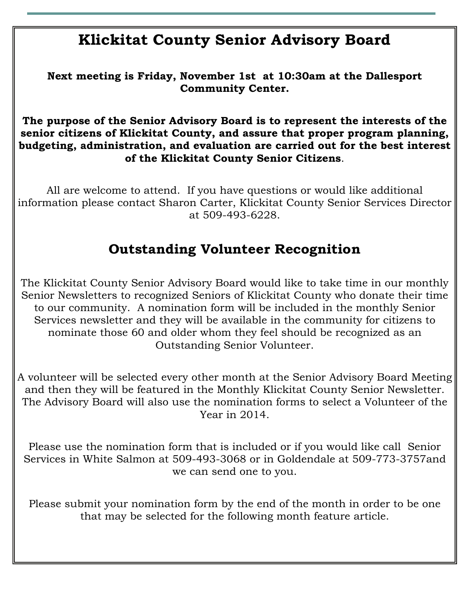### **Klickitat County Senior Advisory Board**

**Next meeting is Friday, November 1st at 10:30am at the Dallesport Community Center.** 

**The purpose of the Senior Advisory Board is to represent the interests of the senior citizens of Klickitat County, and assure that proper program planning, budgeting, administration, and evaluation are carried out for the best interest of the Klickitat County Senior Citizens**.

All are welcome to attend. If you have questions or would like additional information please contact Sharon Carter, Klickitat County Senior Services Director at 509-493-6228.

### **Outstanding Volunteer Recognition**

The Klickitat County Senior Advisory Board would like to take time in our monthly Senior Newsletters to recognized Seniors of Klickitat County who donate their time to our community. A nomination form will be included in the monthly Senior Services newsletter and they will be available in the community for citizens to nominate those 60 and older whom they feel should be recognized as an Outstanding Senior Volunteer.

A volunteer will be selected every other month at the Senior Advisory Board Meeting and then they will be featured in the Monthly Klickitat County Senior Newsletter. The Advisory Board will also use the nomination forms to select a Volunteer of the Year in 2014.

Please use the nomination form that is included or if you would like call Senior Services in White Salmon at 509-493-3068 or in Goldendale at 509-773-3757and we can send one to you.

Please submit your nomination form by the end of the month in order to be one that may be selected for the following month feature article.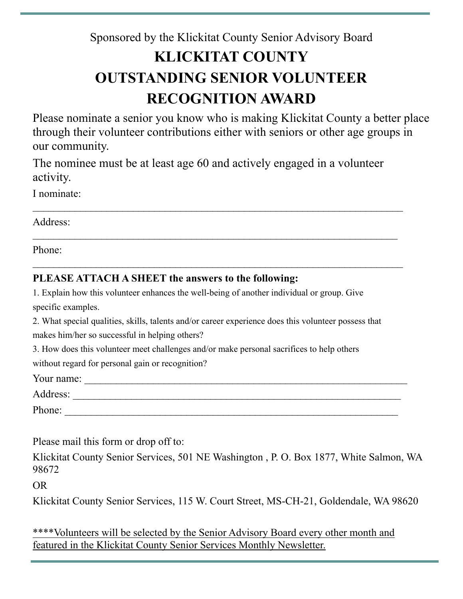# Sponsored by the Klickitat County Senior Advisory Board **KLICKITAT COUNTY OUTSTANDING SENIOR VOLUNTEER RECOGNITION AWARD**

Please nominate a senior you know who is making Klickitat County a better place through their volunteer contributions either with seniors or other age groups in our community.

The nominee must be at least age 60 and actively engaged in a volunteer activity.

 $\mathcal{L}_\text{max} = \frac{1}{2} \sum_{i=1}^{n} \frac{1}{2} \sum_{i=1}^{n} \frac{1}{2} \sum_{i=1}^{n} \frac{1}{2} \sum_{i=1}^{n} \frac{1}{2} \sum_{i=1}^{n} \frac{1}{2} \sum_{i=1}^{n} \frac{1}{2} \sum_{i=1}^{n} \frac{1}{2} \sum_{i=1}^{n} \frac{1}{2} \sum_{i=1}^{n} \frac{1}{2} \sum_{i=1}^{n} \frac{1}{2} \sum_{i=1}^{n} \frac{1}{2} \sum_{i=1}^{n} \frac{1$ 

 $\mathcal{L}_\text{max}$  , and the contract of the contract of the contract of the contract of the contract of the contract of the contract of the contract of the contract of the contract of the contract of the contract of the contr

I nominate:

Address:

Phone:

#### **PLEASE ATTACH A SHEET the answers to the following:**

1. Explain how this volunteer enhances the well-being of another individual or group. Give specific examples.

2. What special qualities, skills, talents and/or career experience does this volunteer possess that makes him/her so successful in helping others?

3. How does this volunteer meet challenges and/or make personal sacrifices to help others

without regard for personal gain or recognition?

Your name: \_\_\_\_\_\_\_\_\_\_\_\_\_\_\_\_\_\_\_\_\_\_\_\_\_\_\_\_\_\_\_\_\_\_\_\_\_\_\_\_\_\_\_\_\_\_\_\_\_\_\_\_\_\_\_\_\_\_\_\_\_

Address: \_\_\_\_\_\_\_\_\_\_\_\_\_\_\_\_\_\_\_\_\_\_\_\_\_\_\_\_\_\_\_\_\_\_\_\_\_\_\_\_\_\_\_\_\_\_\_\_\_\_\_\_\_\_\_\_\_\_\_\_\_\_

Phone:

Please mail this form or drop off to:

Klickitat County Senior Services, 501 NE Washington , P. O. Box 1877, White Salmon, WA 98672

OR

Klickitat County Senior Services, 115 W. Court Street, MS-CH-21, Goldendale, WA 98620

\*\*\*\*Volunteers will be selected by the Senior Advisory Board every other month and featured in the Klickitat County Senior Services Monthly Newsletter.